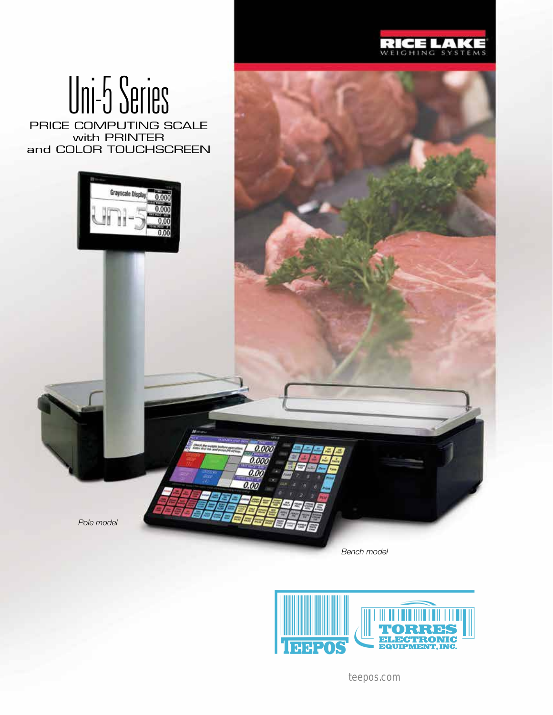

# Uni-5 Series

PRICE COMPUTING SCALE with PRINTER and COLOR TOUCHSCREEN



*Pole model*

*Bench model*

0.000  $0.00$ 0.00 o or



teepos.com